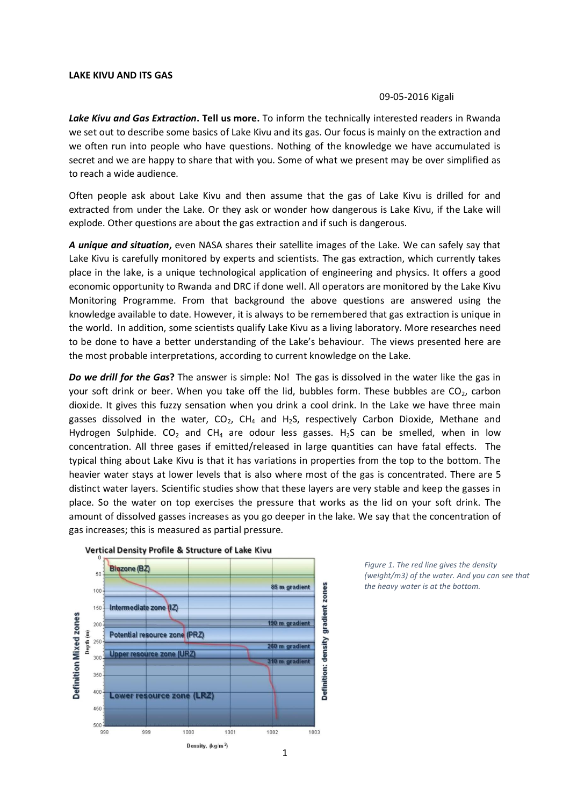## **LAKE KIVU AND ITS GAS**

## 09-05-2016 Kigali

*Lake Kivu and Gas Extraction***. Tell us more.** To inform the technically interested readers in Rwanda we set out to describe some basics of Lake Kivu and its gas. Our focus is mainly on the extraction and we often run into people who have questions. Nothing of the knowledge we have accumulated is secret and we are happy to share that with you. Some of what we present may be over simplified as to reach a wide audience.

Often people ask about Lake Kivu and then assume that the gas of Lake Kivu is drilled for and extracted from under the Lake. Or they ask or wonder how dangerous is Lake Kivu, if the Lake will explode. Other questions are about the gas extraction and if such is dangerous.

*A unique and situation***,** even NASA shares their satellite images of the Lake. We can safely say that Lake Kivu is carefully monitored by experts and scientists. The gas extraction, which currently takes place in the lake, is a unique technological application of engineering and physics. It offers a good economic opportunity to Rwanda and DRC if done well. All operators are monitored by the Lake Kivu Monitoring Programme. From that background the above questions are answered using the knowledge available to date. However, it is always to be remembered that gas extraction is unique in the world. In addition, some scientists qualify Lake Kivu as a living laboratory. More researches need to be done to have a better understanding of the Lake's behaviour. The views presented here are the most probable interpretations, according to current knowledge on the Lake.

*Do we drill for the Gas***?** The answer is simple: No! The gas is dissolved in the water like the gas in your soft drink or beer. When you take off the lid, bubbles form. These bubbles are  $CO<sub>2</sub>$ , carbon dioxide. It gives this fuzzy sensation when you drink a cool drink. In the Lake we have three main gasses dissolved in the water,  $CO<sub>2</sub>$ , CH<sub>4</sub> and H<sub>2</sub>S, respectively Carbon Dioxide, Methane and Hydrogen Sulphide. CO<sub>2</sub> and CH<sub>4</sub> are odour less gasses. H<sub>2</sub>S can be smelled, when in low concentration. All three gases if emitted/released in large quantities can have fatal effects. The typical thing about Lake Kivu is that it has variations in properties from the top to the bottom. The heavier water stays at lower levels that is also where most of the gas is concentrated. There are 5 distinct water layers. Scientific studies show that these layers are very stable and keep the gasses in place. So the water on top exercises the pressure that works as the lid on your soft drink. The amount of dissolved gasses increases as you go deeper in the lake. We say that the concentration of gas increases; this is measured as partial pressure.





*Figure 1. The red line gives the density (weight/m3) of the water. And you can see that the heavy water is at the bottom.*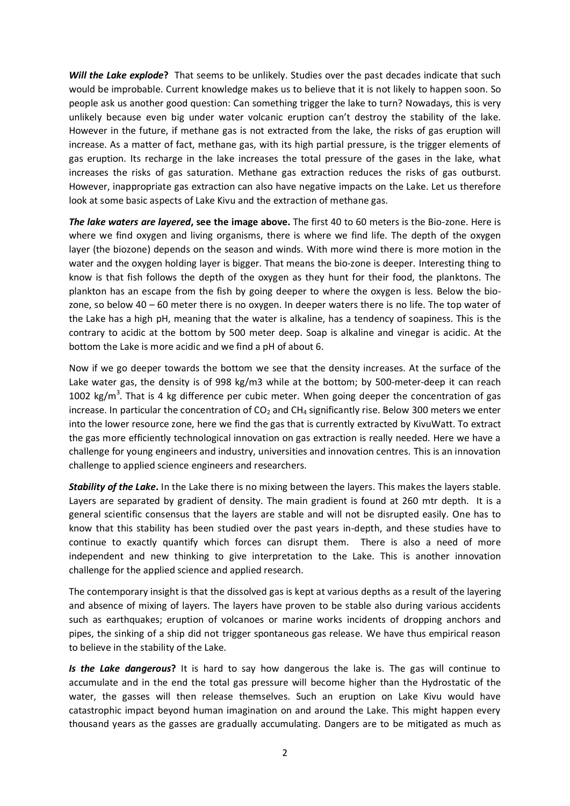*Will the Lake explode***?** That seems to be unlikely. Studies over the past decades indicate that such would be improbable. Current knowledge makes us to believe that it is not likely to happen soon. So people ask us another good question: Can something trigger the lake to turn? Nowadays, this is very unlikely because even big under water volcanic eruption can't destroy the stability of the lake. However in the future, if methane gas is not extracted from the lake, the risks of gas eruption will increase. As a matter of fact, methane gas, with its high partial pressure, is the trigger elements of gas eruption. Its recharge in the lake increases the total pressure of the gases in the lake, what increases the risks of gas saturation. Methane gas extraction reduces the risks of gas outburst. However, inappropriate gas extraction can also have negative impacts on the Lake. Let us therefore look at some basic aspects of Lake Kivu and the extraction of methane gas.

*The lake waters are layered***, see the image above.** The first 40 to 60 meters is the Bio-zone. Here is where we find oxygen and living organisms, there is where we find life. The depth of the oxygen layer (the biozone) depends on the season and winds. With more wind there is more motion in the water and the oxygen holding layer is bigger. That means the bio-zone is deeper. Interesting thing to know is that fish follows the depth of the oxygen as they hunt for their food, the planktons. The plankton has an escape from the fish by going deeper to where the oxygen is less. Below the biozone, so below 40 – 60 meter there is no oxygen. In deeper waters there is no life. The top water of the Lake has a high pH, meaning that the water is alkaline, has a tendency of soapiness. This is the contrary to acidic at the bottom by 500 meter deep. Soap is alkaline and vinegar is acidic. At the bottom the Lake is more acidic and we find a pH of about 6.

Now if we go deeper towards the bottom we see that the density increases. At the surface of the Lake water gas, the density is of 998 kg/m3 while at the bottom; by 500-meter-deep it can reach 1002  $\text{kg/m}^3$ . That is 4 kg difference per cubic meter. When going deeper the concentration of gas increase. In particular the concentration of  $CO<sub>2</sub>$  and  $CH<sub>4</sub>$  significantly rise. Below 300 meters we enter into the lower resource zone, here we find the gas that is currently extracted by KivuWatt. To extract the gas more efficiently technological innovation on gas extraction is really needed. Here we have a challenge for young engineers and industry, universities and innovation centres. This is an innovation challenge to applied science engineers and researchers.

*Stability of the Lake***.** In the Lake there is no mixing between the layers. This makes the layers stable. Layers are separated by gradient of density. The main gradient is found at 260 mtr depth. It is a general scientific consensus that the layers are stable and will not be disrupted easily. One has to know that this stability has been studied over the past years in-depth, and these studies have to continue to exactly quantify which forces can disrupt them. There is also a need of more independent and new thinking to give interpretation to the Lake. This is another innovation challenge for the applied science and applied research.

The contemporary insight is that the dissolved gas is kept at various depths as a result of the layering and absence of mixing of layers. The layers have proven to be stable also during various accidents such as earthquakes; eruption of volcanoes or marine works incidents of dropping anchors and pipes, the sinking of a ship did not trigger spontaneous gas release. We have thus empirical reason to believe in the stability of the Lake.

*Is the Lake dangerous***?** It is hard to say how dangerous the lake is. The gas will continue to accumulate and in the end the total gas pressure will become higher than the Hydrostatic of the water, the gasses will then release themselves. Such an eruption on Lake Kivu would have catastrophic impact beyond human imagination on and around the Lake. This might happen every thousand years as the gasses are gradually accumulating. Dangers are to be mitigated as much as